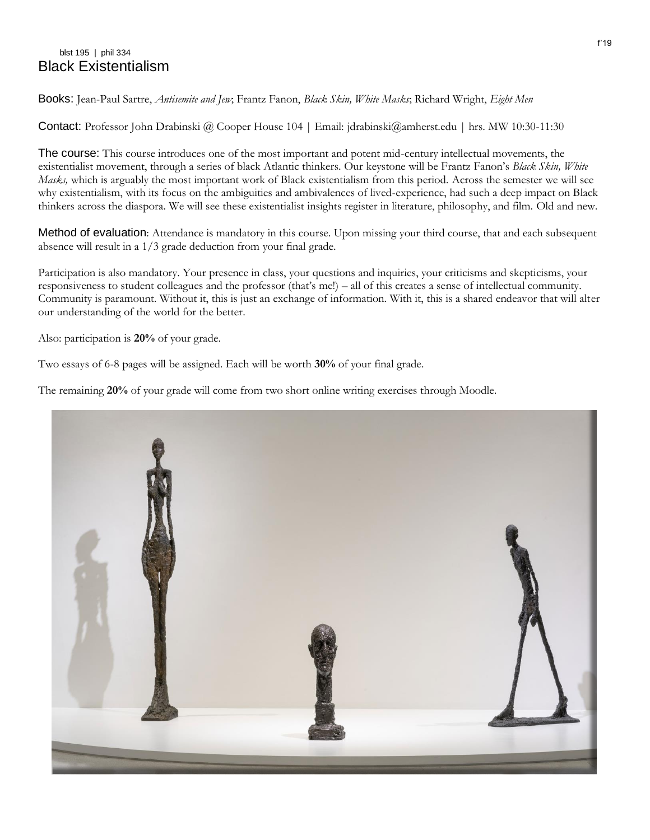## blst 195 | phil 334 Black Existentialism

Books: Jean-Paul Sartre, *Antisemite and Jew*; Frantz Fanon, *Black Skin, White Masks*; Richard Wright, *Eight Men*

Contact: Professor John Drabinski @ Cooper House 104 | Email: jdrabinski@amherst.edu | hrs. MW 10:30-11:30

The course: This course introduces one of the most important and potent mid-century intellectual movements, the existentialist movement, through a series of black Atlantic thinkers. Our keystone will be Frantz Fanon's *Black Skin, White Masks,* which is arguably the most important work of Black existentialism from this period. Across the semester we will see why existentialism, with its focus on the ambiguities and ambivalences of lived-experience, had such a deep impact on Black thinkers across the diaspora. We will see these existentialist insights register in literature, philosophy, and film. Old and new.

Method of evaluation: Attendance is mandatory in this course. Upon missing your third course, that and each subsequent absence will result in a 1/3 grade deduction from your final grade.

Participation is also mandatory. Your presence in class, your questions and inquiries, your criticisms and skepticisms, your responsiveness to student colleagues and the professor (that's me!) – all of this creates a sense of intellectual community. Community is paramount. Without it, this is just an exchange of information. With it, this is a shared endeavor that will alter our understanding of the world for the better.

Also: participation is **20%** of your grade.

Two essays of 6-8 pages will be assigned. Each will be worth **30%** of your final grade.

The remaining **20%** of your grade will come from two short online writing exercises through Moodle.